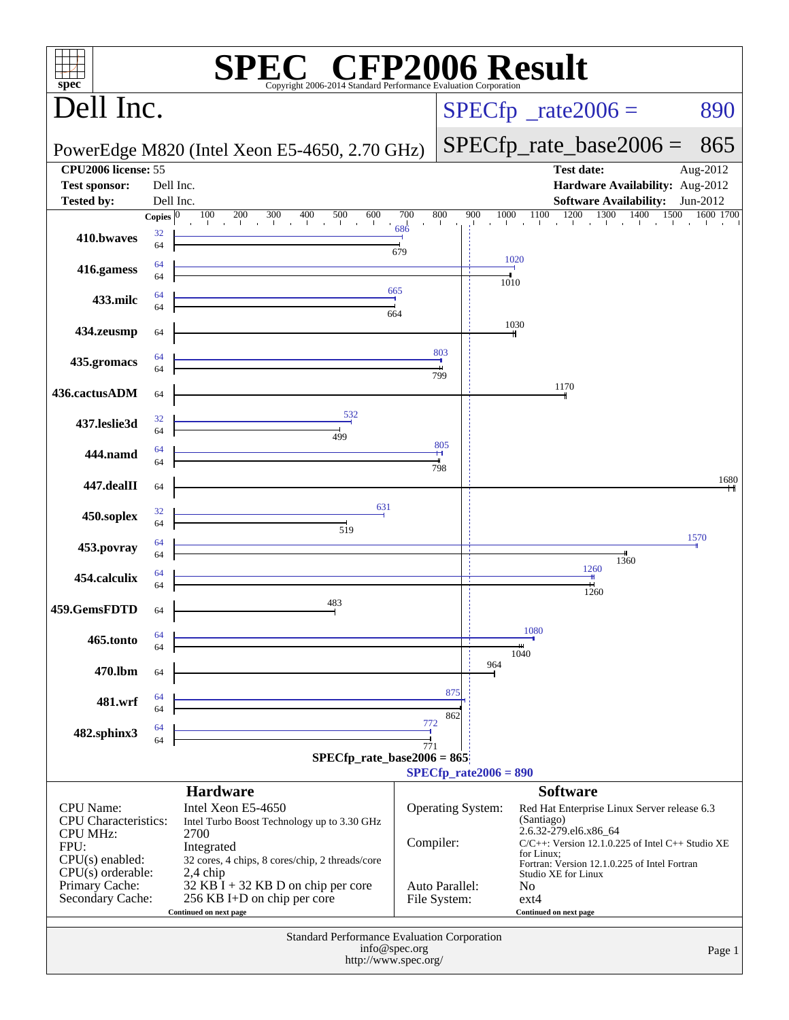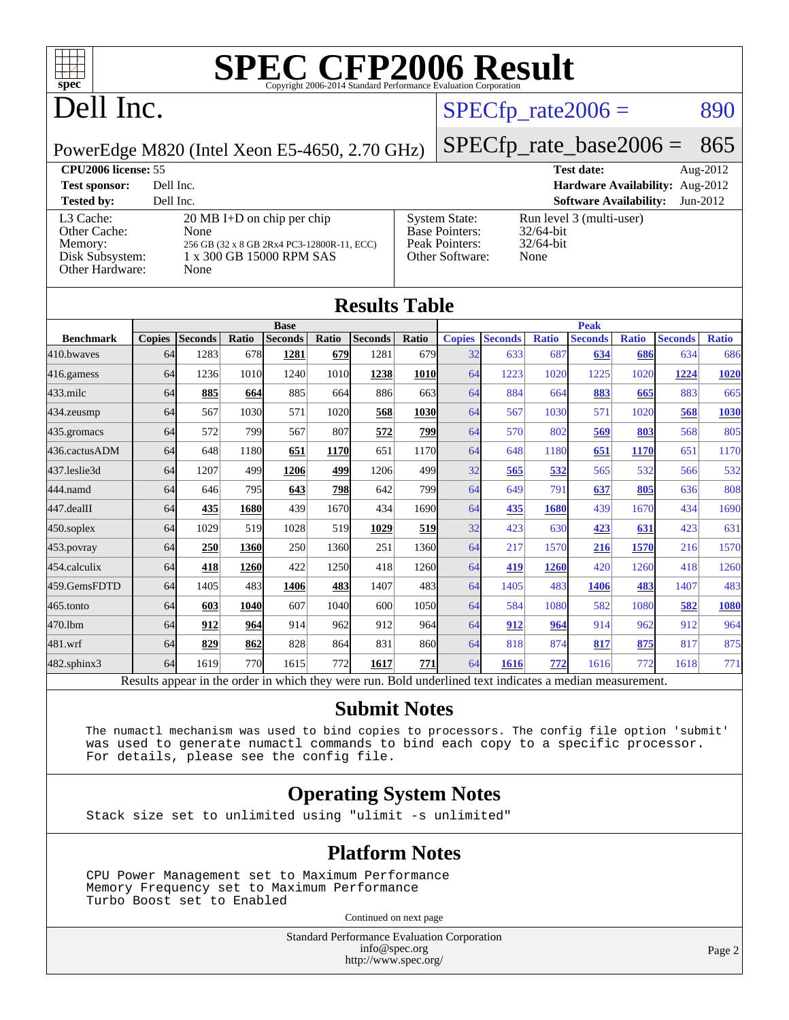

# Dell Inc.

### $SPECTp_rate2006 = 890$

PowerEdge M820 (Intel Xeon E5-4650, 2.70 GHz)

### [SPECfp\\_rate\\_base2006 =](http://www.spec.org/auto/cpu2006/Docs/result-fields.html#SPECfpratebase2006) 865

**[CPU2006 license:](http://www.spec.org/auto/cpu2006/Docs/result-fields.html#CPU2006license)** 55 **[Test date:](http://www.spec.org/auto/cpu2006/Docs/result-fields.html#Testdate)** Aug-2012 **[Test sponsor:](http://www.spec.org/auto/cpu2006/Docs/result-fields.html#Testsponsor)** Dell Inc. **[Hardware Availability:](http://www.spec.org/auto/cpu2006/Docs/result-fields.html#HardwareAvailability)** Aug-2012 **[Tested by:](http://www.spec.org/auto/cpu2006/Docs/result-fields.html#Testedby)** Dell Inc. **[Software Availability:](http://www.spec.org/auto/cpu2006/Docs/result-fields.html#SoftwareAvailability)** Jun-2012

[L3 Cache:](http://www.spec.org/auto/cpu2006/Docs/result-fields.html#L3Cache) 20 MB I+D on chip per chip<br>Other Cache: None [Other Cache:](http://www.spec.org/auto/cpu2006/Docs/result-fields.html#OtherCache) [Memory:](http://www.spec.org/auto/cpu2006/Docs/result-fields.html#Memory) 256 GB (32 x 8 GB 2Rx4 PC3-12800R-11, ECC) [Disk Subsystem:](http://www.spec.org/auto/cpu2006/Docs/result-fields.html#DiskSubsystem) 1 x 300 GB 15000 RPM SAS [Other Hardware:](http://www.spec.org/auto/cpu2006/Docs/result-fields.html#OtherHardware) None

| <b>System State:</b><br><b>Base Pointers:</b><br>Peak Pointers:<br>Other Software: | Run l<br>32/64<br>32/64<br>None |
|------------------------------------------------------------------------------------|---------------------------------|
|                                                                                    |                                 |

In level 3 (multi-user)  $64$ -bit  $/64$ -bit

|                   | <b>Results Table</b>                                                                                     |                |       |                |            |                |              |               |                |              |                |              |                |              |
|-------------------|----------------------------------------------------------------------------------------------------------|----------------|-------|----------------|------------|----------------|--------------|---------------|----------------|--------------|----------------|--------------|----------------|--------------|
|                   |                                                                                                          |                |       |                |            | <b>Base</b>    |              |               | <b>Peak</b>    |              |                |              |                |              |
| <b>Benchmark</b>  | <b>Copies</b>                                                                                            | <b>Seconds</b> | Ratio | <b>Seconds</b> | Ratio      | <b>Seconds</b> | <b>Ratio</b> | <b>Copies</b> | <b>Seconds</b> | <b>Ratio</b> | <b>Seconds</b> | <b>Ratio</b> | <b>Seconds</b> | <b>Ratio</b> |
| 410.bwayes        | 64                                                                                                       | 1283           | 678   | 1281           | 679        | 1281           | 679          | 32            | 633            | 687          | 634            | 686          | 634            | 686          |
| 416.gamess        | 64                                                                                                       | 1236           | 1010  | 1240           | 1010       | 1238           | <b>1010</b>  | 64            | 1223           | 1020         | 1225           | 1020         | 1224           | 1020         |
| $433$ .milc       | 64                                                                                                       | 885            | 664   | 885            | 664        | 886            | 663          | 64            | 884            | 664          | 883            | 665          | 883            | 665          |
| 434.zeusmp        | 64                                                                                                       | 567            | 1030  | 571            | 1020       | 568            | 1030         | 64            | 567            | 1030         | 571            | 1020         | 568            | 1030         |
| 435.gromacs       | 64                                                                                                       | 572            | 799   | 567            | 807        | 572            | <u>799</u>   | 64            | 570            | 802          | 569            | 803          | 568            | 805          |
| 436.cactusADM     | 64                                                                                                       | 648            | 1180  | 651            | 1170       | 651            | 1170         | 64            | 648            | 1180         | 651            | 1170         | 651            | 1170         |
| 437.leslie3d      | 64                                                                                                       | 1207           | 499   | 1206           | 499        | 1206           | 499          | 32            | 565            | 532          | 565            | 532          | 566            | 532          |
| 444.namd          | 64                                                                                                       | 646            | 795   | 643            | <u>798</u> | 642            | 799          | 64            | 649            | 791          | 637            | 805          | 636            | 808          |
| 447.dealII        | 64                                                                                                       | 435            | 1680  | 439            | 1670       | 434            | 1690         | 64            | 435            | 1680         | 439            | 1670         | 434            | 1690         |
| $450$ .soplex     | 64                                                                                                       | 1029           | 519   | 1028           | 519        | 1029           | 519          | 32            | 423            | 630          | 423            | 631          | 423            | 631          |
| 453.povray        | 64                                                                                                       | 250            | 1360  | 250            | 1360       | 251            | 1360         | 64            | 217            | 1570         | 216            | 1570         | 216            | 1570         |
| 454.calculix      | 64                                                                                                       | 418            | 1260  | 422            | 1250       | 418            | 1260         | 64            | 419            | 1260         | 420            | 1260         | 418            | 1260         |
| 459.GemsFDTD      | 64                                                                                                       | 1405           | 483   | 1406           | 483        | 1407           | 483          | 64            | 1405           | 483          | 1406           | 483          | 1407           | 483          |
| 465.tonto         | 64                                                                                                       | 603            | 1040  | 607            | 1040       | 600            | 1050         | 64            | 584            | 1080         | 582            | 1080         | 582            | 1080         |
| 470.1bm           | 64                                                                                                       | 912            | 964   | 914            | 962        | 912            | 964          | 64            | 912            | 964          | 914            | 962          | 912            | 964          |
| 481.wrf           | 64                                                                                                       | 829            | 862   | 828            | 864        | 831            | 860          | 64            | 818            | 874          | 817            | 875          | 817            | 875          |
| $482$ .sphinx $3$ | 64                                                                                                       | 1619           | 770   | 1615           | 772        | 1617           | 771          | 64            | 1616           | 772          | 1616           | 772          | 1618           | 771          |
|                   | Results appear in the order in which they were run. Bold underlined text indicates a median measurement. |                |       |                |            |                |              |               |                |              |                |              |                |              |

#### **[Submit Notes](http://www.spec.org/auto/cpu2006/Docs/result-fields.html#SubmitNotes)**

 The numactl mechanism was used to bind copies to processors. The config file option 'submit' was used to generate numactl commands to bind each copy to a specific processor. For details, please see the config file.

### **[Operating System Notes](http://www.spec.org/auto/cpu2006/Docs/result-fields.html#OperatingSystemNotes)**

Stack size set to unlimited using "ulimit -s unlimited"

### **[Platform Notes](http://www.spec.org/auto/cpu2006/Docs/result-fields.html#PlatformNotes)**

 CPU Power Management set to Maximum Performance Memory Frequency set to Maximum Performance Turbo Boost set to Enabled

Continued on next page

Standard Performance Evaluation Corporation [info@spec.org](mailto:info@spec.org) <http://www.spec.org/>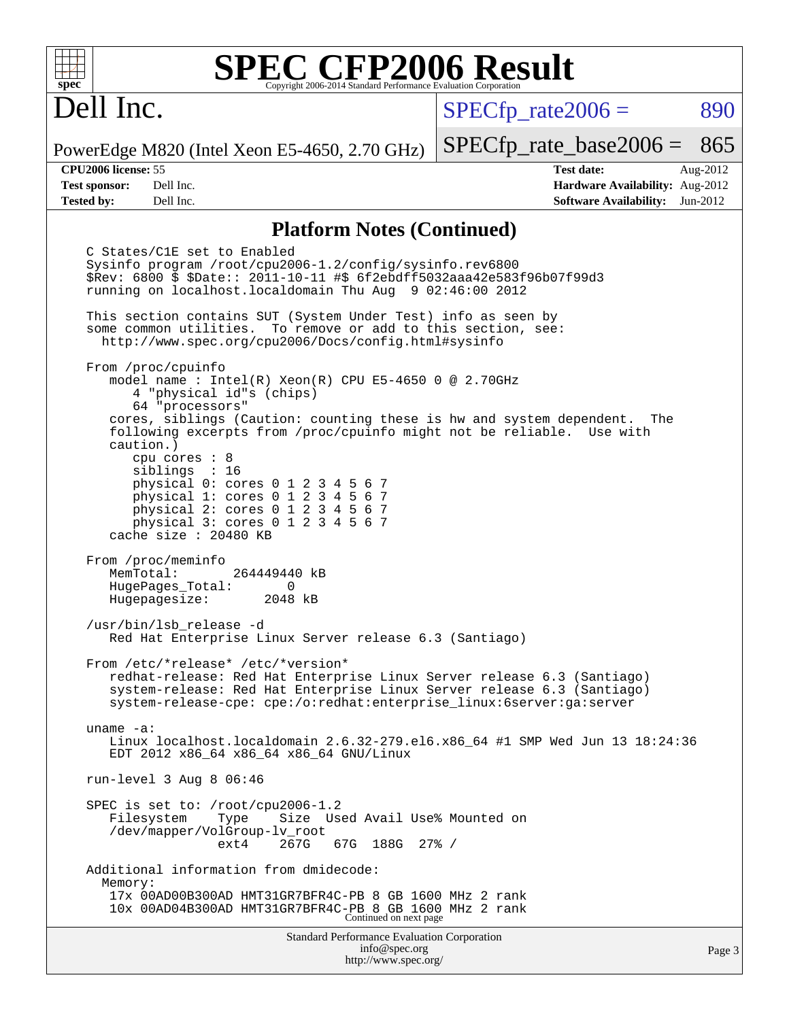# Dell Inc.

 $SPECTp\_rate2006 = 890$ 

PowerEdge M820 (Intel Xeon E5-4650, 2.70 GHz)

**[Tested by:](http://www.spec.org/auto/cpu2006/Docs/result-fields.html#Testedby)** Dell Inc. **[Software Availability:](http://www.spec.org/auto/cpu2006/Docs/result-fields.html#SoftwareAvailability)** Jun-2012

[SPECfp\\_rate\\_base2006 =](http://www.spec.org/auto/cpu2006/Docs/result-fields.html#SPECfpratebase2006) 865 **[CPU2006 license:](http://www.spec.org/auto/cpu2006/Docs/result-fields.html#CPU2006license)** 55 **[Test date:](http://www.spec.org/auto/cpu2006/Docs/result-fields.html#Testdate)** Aug-2012 **[Test sponsor:](http://www.spec.org/auto/cpu2006/Docs/result-fields.html#Testsponsor)** Dell Inc. **[Hardware Availability:](http://www.spec.org/auto/cpu2006/Docs/result-fields.html#HardwareAvailability)** Aug-2012

### **[Platform Notes \(Continued\)](http://www.spec.org/auto/cpu2006/Docs/result-fields.html#PlatformNotes)**

Standard Performance Evaluation Corporation [info@spec.org](mailto:info@spec.org) C States/C1E set to Enabled Sysinfo program /root/cpu2006-1.2/config/sysinfo.rev6800 \$Rev: 6800 \$ \$Date:: 2011-10-11 #\$ 6f2ebdff5032aaa42e583f96b07f99d3 running on localhost.localdomain Thu Aug 9 02:46:00 2012 This section contains SUT (System Under Test) info as seen by some common utilities. To remove or add to this section, see: <http://www.spec.org/cpu2006/Docs/config.html#sysinfo> From /proc/cpuinfo model name : Intel(R) Xeon(R) CPU E5-4650 0 @ 2.70GHz 4 "physical id"s (chips) 64 "processors" cores, siblings (Caution: counting these is hw and system dependent. The following excerpts from /proc/cpuinfo might not be reliable. Use with caution.) cpu cores : 8 siblings : 16 physical 0: cores 0 1 2 3 4 5 6 7 physical 1: cores 0 1 2 3 4 5 6 7 physical 2: cores 0 1 2 3 4 5 6 7 physical 3: cores 0 1 2 3 4 5 6 7 cache size : 20480 KB From /proc/meminfo<br>MemTotal: 264449440 kB HugePages\_Total: 0<br>Hugepagesize: 2048 kB Hugepagesize: /usr/bin/lsb\_release -d Red Hat Enterprise Linux Server release 6.3 (Santiago) From /etc/\*release\* /etc/\*version\* redhat-release: Red Hat Enterprise Linux Server release 6.3 (Santiago) system-release: Red Hat Enterprise Linux Server release 6.3 (Santiago) system-release-cpe: cpe:/o:redhat:enterprise\_linux:6server:ga:server uname -a: Linux localhost.localdomain 2.6.32-279.el6.x86\_64 #1 SMP Wed Jun 13 18:24:36 EDT 2012 x86\_64 x86\_64 x86\_64 GNU/Linux run-level 3 Aug 8 06:46 SPEC is set to: /root/cpu2006-1.2 Filesystem Type Size Used Avail Use% Mounted on /dev/mapper/VolGroup-lv\_root ext4 267G 67G 188G 27% / Additional information from dmidecode: Memory: 17x 00AD00B300AD HMT31GR7BFR4C-PB 8 GB 1600 MHz 2 rank 10x 00AD04B300AD HMT31GR7BFR4C-PB 8 GB 1600 MHz 2 rank Continued on next page

<http://www.spec.org/>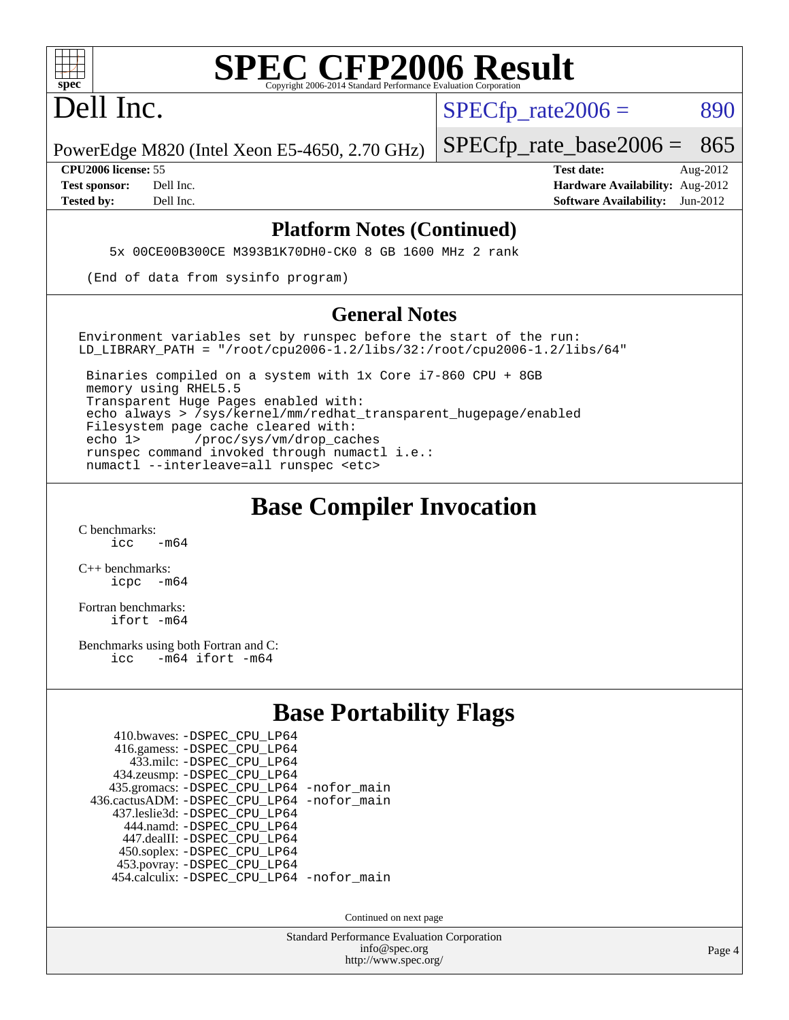

Dell Inc.

 $SPECTp\_rate2006 = 890$ 

PowerEdge M820 (Intel Xeon E5-4650, 2.70 GHz)

**[Tested by:](http://www.spec.org/auto/cpu2006/Docs/result-fields.html#Testedby)** Dell Inc. **[Software Availability:](http://www.spec.org/auto/cpu2006/Docs/result-fields.html#SoftwareAvailability)** Jun-2012

**[CPU2006 license:](http://www.spec.org/auto/cpu2006/Docs/result-fields.html#CPU2006license)** 55 **[Test date:](http://www.spec.org/auto/cpu2006/Docs/result-fields.html#Testdate)** Aug-2012 **[Test sponsor:](http://www.spec.org/auto/cpu2006/Docs/result-fields.html#Testsponsor)** Dell Inc. **[Hardware Availability:](http://www.spec.org/auto/cpu2006/Docs/result-fields.html#HardwareAvailability)** Aug-2012

[SPECfp\\_rate\\_base2006 =](http://www.spec.org/auto/cpu2006/Docs/result-fields.html#SPECfpratebase2006) 865

#### **[Platform Notes \(Continued\)](http://www.spec.org/auto/cpu2006/Docs/result-fields.html#PlatformNotes)**

5x 00CE00B300CE M393B1K70DH0-CK0 8 GB 1600 MHz 2 rank

(End of data from sysinfo program)

#### **[General Notes](http://www.spec.org/auto/cpu2006/Docs/result-fields.html#GeneralNotes)**

Environment variables set by runspec before the start of the run: LD LIBRARY PATH = "/root/cpu2006-1.2/libs/32:/root/cpu2006-1.2/libs/64"

 Binaries compiled on a system with 1x Core i7-860 CPU + 8GB memory using RHEL5.5 Transparent Huge Pages enabled with: echo always > /sys/kernel/mm/redhat\_transparent\_hugepage/enabled Filesystem page cache cleared with: echo 1> /proc/sys/vm/drop\_caches runspec command invoked through numactl i.e.: numactl --interleave=all runspec <etc>

## **[Base Compiler Invocation](http://www.spec.org/auto/cpu2006/Docs/result-fields.html#BaseCompilerInvocation)**

[C benchmarks](http://www.spec.org/auto/cpu2006/Docs/result-fields.html#Cbenchmarks):  $irc = m64$ 

[C++ benchmarks:](http://www.spec.org/auto/cpu2006/Docs/result-fields.html#CXXbenchmarks) [icpc -m64](http://www.spec.org/cpu2006/results/res2012q3/cpu2006-20120814-24230.flags.html#user_CXXbase_intel_icpc_64bit_bedb90c1146cab66620883ef4f41a67e)

[Fortran benchmarks](http://www.spec.org/auto/cpu2006/Docs/result-fields.html#Fortranbenchmarks): [ifort -m64](http://www.spec.org/cpu2006/results/res2012q3/cpu2006-20120814-24230.flags.html#user_FCbase_intel_ifort_64bit_ee9d0fb25645d0210d97eb0527dcc06e)

[Benchmarks using both Fortran and C](http://www.spec.org/auto/cpu2006/Docs/result-fields.html#BenchmarksusingbothFortranandC): [icc -m64](http://www.spec.org/cpu2006/results/res2012q3/cpu2006-20120814-24230.flags.html#user_CC_FCbase_intel_icc_64bit_0b7121f5ab7cfabee23d88897260401c) [ifort -m64](http://www.spec.org/cpu2006/results/res2012q3/cpu2006-20120814-24230.flags.html#user_CC_FCbase_intel_ifort_64bit_ee9d0fb25645d0210d97eb0527dcc06e)

## **[Base Portability Flags](http://www.spec.org/auto/cpu2006/Docs/result-fields.html#BasePortabilityFlags)**

| 410.bwaves: - DSPEC CPU LP64               |  |
|--------------------------------------------|--|
| 416.gamess: -DSPEC_CPU_LP64                |  |
| 433.milc: -DSPEC CPU LP64                  |  |
| 434.zeusmp: -DSPEC_CPU_LP64                |  |
| 435.gromacs: -DSPEC_CPU_LP64 -nofor_main   |  |
| 436.cactusADM: -DSPEC CPU LP64 -nofor main |  |
| 437.leslie3d: -DSPEC CPU LP64              |  |
| 444.namd: - DSPEC_CPU_LP64                 |  |
| 447.dealII: -DSPEC CPU LP64                |  |
| 450.soplex: -DSPEC_CPU_LP64                |  |
| 453.povray: -DSPEC_CPU_LP64                |  |
| 454.calculix: -DSPEC_CPU_LP64 -nofor_main  |  |

Continued on next page

Standard Performance Evaluation Corporation [info@spec.org](mailto:info@spec.org) <http://www.spec.org/>

Page 4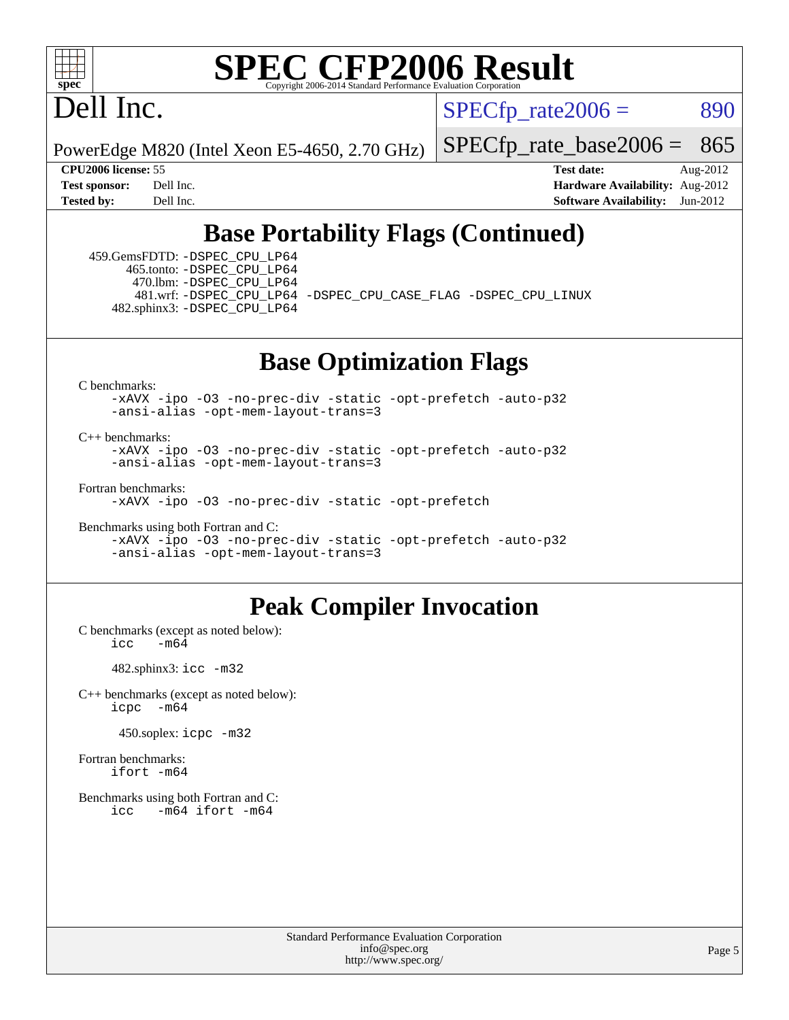

# Dell Inc.

 $SPECTp\_rate2006 = 890$ 

PowerEdge M820 (Intel Xeon E5-4650, 2.70 GHz)

[SPECfp\\_rate\\_base2006 =](http://www.spec.org/auto/cpu2006/Docs/result-fields.html#SPECfpratebase2006) 865

**[CPU2006 license:](http://www.spec.org/auto/cpu2006/Docs/result-fields.html#CPU2006license)** 55 **[Test date:](http://www.spec.org/auto/cpu2006/Docs/result-fields.html#Testdate)** Aug-2012 **[Test sponsor:](http://www.spec.org/auto/cpu2006/Docs/result-fields.html#Testsponsor)** Dell Inc. **[Hardware Availability:](http://www.spec.org/auto/cpu2006/Docs/result-fields.html#HardwareAvailability)** Aug-2012 **[Tested by:](http://www.spec.org/auto/cpu2006/Docs/result-fields.html#Testedby)** Dell Inc. **[Software Availability:](http://www.spec.org/auto/cpu2006/Docs/result-fields.html#SoftwareAvailability)** Jun-2012

# **[Base Portability Flags \(Continued\)](http://www.spec.org/auto/cpu2006/Docs/result-fields.html#BasePortabilityFlags)**

 459.GemsFDTD: [-DSPEC\\_CPU\\_LP64](http://www.spec.org/cpu2006/results/res2012q3/cpu2006-20120814-24230.flags.html#suite_basePORTABILITY459_GemsFDTD_DSPEC_CPU_LP64) 465.tonto: [-DSPEC\\_CPU\\_LP64](http://www.spec.org/cpu2006/results/res2012q3/cpu2006-20120814-24230.flags.html#suite_basePORTABILITY465_tonto_DSPEC_CPU_LP64) 470.lbm: [-DSPEC\\_CPU\\_LP64](http://www.spec.org/cpu2006/results/res2012q3/cpu2006-20120814-24230.flags.html#suite_basePORTABILITY470_lbm_DSPEC_CPU_LP64) 482.sphinx3: [-DSPEC\\_CPU\\_LP64](http://www.spec.org/cpu2006/results/res2012q3/cpu2006-20120814-24230.flags.html#suite_basePORTABILITY482_sphinx3_DSPEC_CPU_LP64)

481.wrf: [-DSPEC\\_CPU\\_LP64](http://www.spec.org/cpu2006/results/res2012q3/cpu2006-20120814-24230.flags.html#suite_basePORTABILITY481_wrf_DSPEC_CPU_LP64) [-DSPEC\\_CPU\\_CASE\\_FLAG](http://www.spec.org/cpu2006/results/res2012q3/cpu2006-20120814-24230.flags.html#b481.wrf_baseCPORTABILITY_DSPEC_CPU_CASE_FLAG) [-DSPEC\\_CPU\\_LINUX](http://www.spec.org/cpu2006/results/res2012q3/cpu2006-20120814-24230.flags.html#b481.wrf_baseCPORTABILITY_DSPEC_CPU_LINUX)

## **[Base Optimization Flags](http://www.spec.org/auto/cpu2006/Docs/result-fields.html#BaseOptimizationFlags)**

[C benchmarks](http://www.spec.org/auto/cpu2006/Docs/result-fields.html#Cbenchmarks):

[-xAVX](http://www.spec.org/cpu2006/results/res2012q3/cpu2006-20120814-24230.flags.html#user_CCbase_f-xAVX) [-ipo](http://www.spec.org/cpu2006/results/res2012q3/cpu2006-20120814-24230.flags.html#user_CCbase_f-ipo) [-O3](http://www.spec.org/cpu2006/results/res2012q3/cpu2006-20120814-24230.flags.html#user_CCbase_f-O3) [-no-prec-div](http://www.spec.org/cpu2006/results/res2012q3/cpu2006-20120814-24230.flags.html#user_CCbase_f-no-prec-div) [-static](http://www.spec.org/cpu2006/results/res2012q3/cpu2006-20120814-24230.flags.html#user_CCbase_f-static) [-opt-prefetch](http://www.spec.org/cpu2006/results/res2012q3/cpu2006-20120814-24230.flags.html#user_CCbase_f-opt-prefetch) [-auto-p32](http://www.spec.org/cpu2006/results/res2012q3/cpu2006-20120814-24230.flags.html#user_CCbase_f-auto-p32) [-ansi-alias](http://www.spec.org/cpu2006/results/res2012q3/cpu2006-20120814-24230.flags.html#user_CCbase_f-ansi-alias) [-opt-mem-layout-trans=3](http://www.spec.org/cpu2006/results/res2012q3/cpu2006-20120814-24230.flags.html#user_CCbase_f-opt-mem-layout-trans_a7b82ad4bd7abf52556d4961a2ae94d5)

[C++ benchmarks:](http://www.spec.org/auto/cpu2006/Docs/result-fields.html#CXXbenchmarks)

[-xAVX](http://www.spec.org/cpu2006/results/res2012q3/cpu2006-20120814-24230.flags.html#user_CXXbase_f-xAVX) [-ipo](http://www.spec.org/cpu2006/results/res2012q3/cpu2006-20120814-24230.flags.html#user_CXXbase_f-ipo) [-O3](http://www.spec.org/cpu2006/results/res2012q3/cpu2006-20120814-24230.flags.html#user_CXXbase_f-O3) [-no-prec-div](http://www.spec.org/cpu2006/results/res2012q3/cpu2006-20120814-24230.flags.html#user_CXXbase_f-no-prec-div) [-static](http://www.spec.org/cpu2006/results/res2012q3/cpu2006-20120814-24230.flags.html#user_CXXbase_f-static) [-opt-prefetch](http://www.spec.org/cpu2006/results/res2012q3/cpu2006-20120814-24230.flags.html#user_CXXbase_f-opt-prefetch) [-auto-p32](http://www.spec.org/cpu2006/results/res2012q3/cpu2006-20120814-24230.flags.html#user_CXXbase_f-auto-p32) [-ansi-alias](http://www.spec.org/cpu2006/results/res2012q3/cpu2006-20120814-24230.flags.html#user_CXXbase_f-ansi-alias) [-opt-mem-layout-trans=3](http://www.spec.org/cpu2006/results/res2012q3/cpu2006-20120814-24230.flags.html#user_CXXbase_f-opt-mem-layout-trans_a7b82ad4bd7abf52556d4961a2ae94d5)

[Fortran benchmarks](http://www.spec.org/auto/cpu2006/Docs/result-fields.html#Fortranbenchmarks):

[-xAVX](http://www.spec.org/cpu2006/results/res2012q3/cpu2006-20120814-24230.flags.html#user_FCbase_f-xAVX) [-ipo](http://www.spec.org/cpu2006/results/res2012q3/cpu2006-20120814-24230.flags.html#user_FCbase_f-ipo) [-O3](http://www.spec.org/cpu2006/results/res2012q3/cpu2006-20120814-24230.flags.html#user_FCbase_f-O3) [-no-prec-div](http://www.spec.org/cpu2006/results/res2012q3/cpu2006-20120814-24230.flags.html#user_FCbase_f-no-prec-div) [-static](http://www.spec.org/cpu2006/results/res2012q3/cpu2006-20120814-24230.flags.html#user_FCbase_f-static) [-opt-prefetch](http://www.spec.org/cpu2006/results/res2012q3/cpu2006-20120814-24230.flags.html#user_FCbase_f-opt-prefetch)

[Benchmarks using both Fortran and C](http://www.spec.org/auto/cpu2006/Docs/result-fields.html#BenchmarksusingbothFortranandC):

[-xAVX](http://www.spec.org/cpu2006/results/res2012q3/cpu2006-20120814-24230.flags.html#user_CC_FCbase_f-xAVX) [-ipo](http://www.spec.org/cpu2006/results/res2012q3/cpu2006-20120814-24230.flags.html#user_CC_FCbase_f-ipo) [-O3](http://www.spec.org/cpu2006/results/res2012q3/cpu2006-20120814-24230.flags.html#user_CC_FCbase_f-O3) [-no-prec-div](http://www.spec.org/cpu2006/results/res2012q3/cpu2006-20120814-24230.flags.html#user_CC_FCbase_f-no-prec-div) [-static](http://www.spec.org/cpu2006/results/res2012q3/cpu2006-20120814-24230.flags.html#user_CC_FCbase_f-static) [-opt-prefetch](http://www.spec.org/cpu2006/results/res2012q3/cpu2006-20120814-24230.flags.html#user_CC_FCbase_f-opt-prefetch) [-auto-p32](http://www.spec.org/cpu2006/results/res2012q3/cpu2006-20120814-24230.flags.html#user_CC_FCbase_f-auto-p32) [-ansi-alias](http://www.spec.org/cpu2006/results/res2012q3/cpu2006-20120814-24230.flags.html#user_CC_FCbase_f-ansi-alias) [-opt-mem-layout-trans=3](http://www.spec.org/cpu2006/results/res2012q3/cpu2006-20120814-24230.flags.html#user_CC_FCbase_f-opt-mem-layout-trans_a7b82ad4bd7abf52556d4961a2ae94d5)

### **[Peak Compiler Invocation](http://www.spec.org/auto/cpu2006/Docs/result-fields.html#PeakCompilerInvocation)**

[C benchmarks \(except as noted below\)](http://www.spec.org/auto/cpu2006/Docs/result-fields.html#Cbenchmarksexceptasnotedbelow):  $\text{icc}$   $-\text{m64}$ 

482.sphinx3: [icc -m32](http://www.spec.org/cpu2006/results/res2012q3/cpu2006-20120814-24230.flags.html#user_peakCCLD482_sphinx3_intel_icc_a6a621f8d50482236b970c6ac5f55f93)

[C++ benchmarks \(except as noted below\):](http://www.spec.org/auto/cpu2006/Docs/result-fields.html#CXXbenchmarksexceptasnotedbelow) [icpc -m64](http://www.spec.org/cpu2006/results/res2012q3/cpu2006-20120814-24230.flags.html#user_CXXpeak_intel_icpc_64bit_bedb90c1146cab66620883ef4f41a67e)

450.soplex: [icpc -m32](http://www.spec.org/cpu2006/results/res2012q3/cpu2006-20120814-24230.flags.html#user_peakCXXLD450_soplex_intel_icpc_4e5a5ef1a53fd332b3c49e69c3330699)

[Fortran benchmarks](http://www.spec.org/auto/cpu2006/Docs/result-fields.html#Fortranbenchmarks): [ifort -m64](http://www.spec.org/cpu2006/results/res2012q3/cpu2006-20120814-24230.flags.html#user_FCpeak_intel_ifort_64bit_ee9d0fb25645d0210d97eb0527dcc06e)

[Benchmarks using both Fortran and C](http://www.spec.org/auto/cpu2006/Docs/result-fields.html#BenchmarksusingbothFortranandC): [icc -m64](http://www.spec.org/cpu2006/results/res2012q3/cpu2006-20120814-24230.flags.html#user_CC_FCpeak_intel_icc_64bit_0b7121f5ab7cfabee23d88897260401c) [ifort -m64](http://www.spec.org/cpu2006/results/res2012q3/cpu2006-20120814-24230.flags.html#user_CC_FCpeak_intel_ifort_64bit_ee9d0fb25645d0210d97eb0527dcc06e)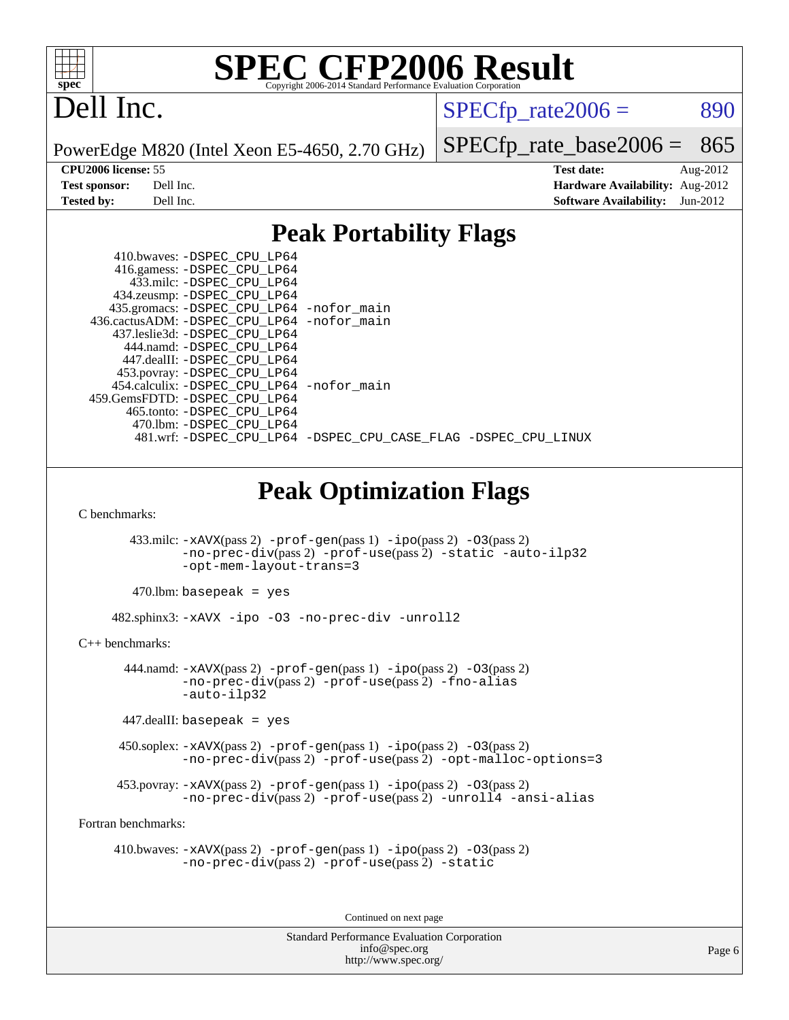

# Dell Inc.

 $SPECTp_rate2006 = 890$ 

PowerEdge M820 (Intel Xeon E5-4650, 2.70 GHz)

[SPECfp\\_rate\\_base2006 =](http://www.spec.org/auto/cpu2006/Docs/result-fields.html#SPECfpratebase2006) 865

**[CPU2006 license:](http://www.spec.org/auto/cpu2006/Docs/result-fields.html#CPU2006license)** 55 **[Test date:](http://www.spec.org/auto/cpu2006/Docs/result-fields.html#Testdate)** Aug-2012 **[Test sponsor:](http://www.spec.org/auto/cpu2006/Docs/result-fields.html#Testsponsor)** Dell Inc. **[Hardware Availability:](http://www.spec.org/auto/cpu2006/Docs/result-fields.html#HardwareAvailability)** Aug-2012 **[Tested by:](http://www.spec.org/auto/cpu2006/Docs/result-fields.html#Testedby)** Dell Inc. **[Software Availability:](http://www.spec.org/auto/cpu2006/Docs/result-fields.html#SoftwareAvailability)** Jun-2012

## **[Peak Portability Flags](http://www.spec.org/auto/cpu2006/Docs/result-fields.html#PeakPortabilityFlags)**

| 410.bwaves: -DSPEC CPU LP64                                    |  |  |  |
|----------------------------------------------------------------|--|--|--|
| 416.gamess: -DSPEC_CPU_LP64                                    |  |  |  |
| 433.milc: -DSPEC CPU LP64                                      |  |  |  |
| 434.zeusmp: -DSPEC_CPU_LP64                                    |  |  |  |
| 435.gromacs: -DSPEC_CPU_LP64 -nofor_main                       |  |  |  |
| 436.cactusADM: -DSPEC CPU LP64 -nofor main                     |  |  |  |
| 437.leslie3d: -DSPEC CPU LP64                                  |  |  |  |
| 444.namd: -DSPEC CPU LP64                                      |  |  |  |
| 447.dealII: -DSPEC CPU LP64                                    |  |  |  |
| 453.povray: -DSPEC_CPU_LP64                                    |  |  |  |
| 454.calculix: -DSPEC CPU LP64 -nofor main                      |  |  |  |
| 459. GemsFDTD: - DSPEC CPU LP64                                |  |  |  |
| 465.tonto: -DSPEC CPU LP64                                     |  |  |  |
| 470.1bm: - DSPEC CPU LP64                                      |  |  |  |
| 481.wrf: -DSPEC_CPU_LP64 -DSPEC_CPU_CASE_FLAG -DSPEC_CPU_LINUX |  |  |  |

# **[Peak Optimization Flags](http://www.spec.org/auto/cpu2006/Docs/result-fields.html#PeakOptimizationFlags)**

[C benchmarks](http://www.spec.org/auto/cpu2006/Docs/result-fields.html#Cbenchmarks):

 433.milc: [-xAVX](http://www.spec.org/cpu2006/results/res2012q3/cpu2006-20120814-24230.flags.html#user_peakPASS2_CFLAGSPASS2_LDFLAGS433_milc_f-xAVX)(pass 2) [-prof-gen](http://www.spec.org/cpu2006/results/res2012q3/cpu2006-20120814-24230.flags.html#user_peakPASS1_CFLAGSPASS1_LDFLAGS433_milc_prof_gen_e43856698f6ca7b7e442dfd80e94a8fc)(pass 1) [-ipo](http://www.spec.org/cpu2006/results/res2012q3/cpu2006-20120814-24230.flags.html#user_peakPASS2_CFLAGSPASS2_LDFLAGS433_milc_f-ipo)(pass 2) [-O3](http://www.spec.org/cpu2006/results/res2012q3/cpu2006-20120814-24230.flags.html#user_peakPASS2_CFLAGSPASS2_LDFLAGS433_milc_f-O3)(pass 2) [-no-prec-div](http://www.spec.org/cpu2006/results/res2012q3/cpu2006-20120814-24230.flags.html#user_peakPASS2_CFLAGSPASS2_LDFLAGS433_milc_f-no-prec-div)(pass 2) [-prof-use](http://www.spec.org/cpu2006/results/res2012q3/cpu2006-20120814-24230.flags.html#user_peakPASS2_CFLAGSPASS2_LDFLAGS433_milc_prof_use_bccf7792157ff70d64e32fe3e1250b55)(pass 2) [-static](http://www.spec.org/cpu2006/results/res2012q3/cpu2006-20120814-24230.flags.html#user_peakOPTIMIZE433_milc_f-static) [-auto-ilp32](http://www.spec.org/cpu2006/results/res2012q3/cpu2006-20120814-24230.flags.html#user_peakCOPTIMIZE433_milc_f-auto-ilp32) [-opt-mem-layout-trans=3](http://www.spec.org/cpu2006/results/res2012q3/cpu2006-20120814-24230.flags.html#user_peakCOPTIMIZE433_milc_f-opt-mem-layout-trans_a7b82ad4bd7abf52556d4961a2ae94d5)

 $470$ .lbm: basepeak = yes

482.sphinx3: [-xAVX](http://www.spec.org/cpu2006/results/res2012q3/cpu2006-20120814-24230.flags.html#user_peakOPTIMIZE482_sphinx3_f-xAVX) [-ipo](http://www.spec.org/cpu2006/results/res2012q3/cpu2006-20120814-24230.flags.html#user_peakOPTIMIZE482_sphinx3_f-ipo) [-O3](http://www.spec.org/cpu2006/results/res2012q3/cpu2006-20120814-24230.flags.html#user_peakOPTIMIZE482_sphinx3_f-O3) [-no-prec-div](http://www.spec.org/cpu2006/results/res2012q3/cpu2006-20120814-24230.flags.html#user_peakOPTIMIZE482_sphinx3_f-no-prec-div) [-unroll2](http://www.spec.org/cpu2006/results/res2012q3/cpu2006-20120814-24230.flags.html#user_peakCOPTIMIZE482_sphinx3_f-unroll_784dae83bebfb236979b41d2422d7ec2)

[C++ benchmarks:](http://www.spec.org/auto/cpu2006/Docs/result-fields.html#CXXbenchmarks)

 444.namd: [-xAVX](http://www.spec.org/cpu2006/results/res2012q3/cpu2006-20120814-24230.flags.html#user_peakPASS2_CXXFLAGSPASS2_LDFLAGS444_namd_f-xAVX)(pass 2) [-prof-gen](http://www.spec.org/cpu2006/results/res2012q3/cpu2006-20120814-24230.flags.html#user_peakPASS1_CXXFLAGSPASS1_LDFLAGS444_namd_prof_gen_e43856698f6ca7b7e442dfd80e94a8fc)(pass 1) [-ipo](http://www.spec.org/cpu2006/results/res2012q3/cpu2006-20120814-24230.flags.html#user_peakPASS2_CXXFLAGSPASS2_LDFLAGS444_namd_f-ipo)(pass 2) [-O3](http://www.spec.org/cpu2006/results/res2012q3/cpu2006-20120814-24230.flags.html#user_peakPASS2_CXXFLAGSPASS2_LDFLAGS444_namd_f-O3)(pass 2) [-no-prec-div](http://www.spec.org/cpu2006/results/res2012q3/cpu2006-20120814-24230.flags.html#user_peakPASS2_CXXFLAGSPASS2_LDFLAGS444_namd_f-no-prec-div)(pass 2) [-prof-use](http://www.spec.org/cpu2006/results/res2012q3/cpu2006-20120814-24230.flags.html#user_peakPASS2_CXXFLAGSPASS2_LDFLAGS444_namd_prof_use_bccf7792157ff70d64e32fe3e1250b55)(pass 2) [-fno-alias](http://www.spec.org/cpu2006/results/res2012q3/cpu2006-20120814-24230.flags.html#user_peakCXXOPTIMIZE444_namd_f-no-alias_694e77f6c5a51e658e82ccff53a9e63a) [-auto-ilp32](http://www.spec.org/cpu2006/results/res2012q3/cpu2006-20120814-24230.flags.html#user_peakCXXOPTIMIZE444_namd_f-auto-ilp32)

 $447$ .dealII: basepeak = yes

 450.soplex: [-xAVX](http://www.spec.org/cpu2006/results/res2012q3/cpu2006-20120814-24230.flags.html#user_peakPASS2_CXXFLAGSPASS2_LDFLAGS450_soplex_f-xAVX)(pass 2) [-prof-gen](http://www.spec.org/cpu2006/results/res2012q3/cpu2006-20120814-24230.flags.html#user_peakPASS1_CXXFLAGSPASS1_LDFLAGS450_soplex_prof_gen_e43856698f6ca7b7e442dfd80e94a8fc)(pass 1) [-ipo](http://www.spec.org/cpu2006/results/res2012q3/cpu2006-20120814-24230.flags.html#user_peakPASS2_CXXFLAGSPASS2_LDFLAGS450_soplex_f-ipo)(pass 2) [-O3](http://www.spec.org/cpu2006/results/res2012q3/cpu2006-20120814-24230.flags.html#user_peakPASS2_CXXFLAGSPASS2_LDFLAGS450_soplex_f-O3)(pass 2) [-no-prec-div](http://www.spec.org/cpu2006/results/res2012q3/cpu2006-20120814-24230.flags.html#user_peakPASS2_CXXFLAGSPASS2_LDFLAGS450_soplex_f-no-prec-div)(pass 2) [-prof-use](http://www.spec.org/cpu2006/results/res2012q3/cpu2006-20120814-24230.flags.html#user_peakPASS2_CXXFLAGSPASS2_LDFLAGS450_soplex_prof_use_bccf7792157ff70d64e32fe3e1250b55)(pass 2) [-opt-malloc-options=3](http://www.spec.org/cpu2006/results/res2012q3/cpu2006-20120814-24230.flags.html#user_peakOPTIMIZE450_soplex_f-opt-malloc-options_13ab9b803cf986b4ee62f0a5998c2238)

 453.povray: [-xAVX](http://www.spec.org/cpu2006/results/res2012q3/cpu2006-20120814-24230.flags.html#user_peakPASS2_CXXFLAGSPASS2_LDFLAGS453_povray_f-xAVX)(pass 2) [-prof-gen](http://www.spec.org/cpu2006/results/res2012q3/cpu2006-20120814-24230.flags.html#user_peakPASS1_CXXFLAGSPASS1_LDFLAGS453_povray_prof_gen_e43856698f6ca7b7e442dfd80e94a8fc)(pass 1) [-ipo](http://www.spec.org/cpu2006/results/res2012q3/cpu2006-20120814-24230.flags.html#user_peakPASS2_CXXFLAGSPASS2_LDFLAGS453_povray_f-ipo)(pass 2) [-O3](http://www.spec.org/cpu2006/results/res2012q3/cpu2006-20120814-24230.flags.html#user_peakPASS2_CXXFLAGSPASS2_LDFLAGS453_povray_f-O3)(pass 2) [-no-prec-div](http://www.spec.org/cpu2006/results/res2012q3/cpu2006-20120814-24230.flags.html#user_peakPASS2_CXXFLAGSPASS2_LDFLAGS453_povray_f-no-prec-div)(pass 2) [-prof-use](http://www.spec.org/cpu2006/results/res2012q3/cpu2006-20120814-24230.flags.html#user_peakPASS2_CXXFLAGSPASS2_LDFLAGS453_povray_prof_use_bccf7792157ff70d64e32fe3e1250b55)(pass 2) [-unroll4](http://www.spec.org/cpu2006/results/res2012q3/cpu2006-20120814-24230.flags.html#user_peakCXXOPTIMIZE453_povray_f-unroll_4e5e4ed65b7fd20bdcd365bec371b81f) [-ansi-alias](http://www.spec.org/cpu2006/results/res2012q3/cpu2006-20120814-24230.flags.html#user_peakCXXOPTIMIZE453_povray_f-ansi-alias)

[Fortran benchmarks](http://www.spec.org/auto/cpu2006/Docs/result-fields.html#Fortranbenchmarks):

 410.bwaves: [-xAVX](http://www.spec.org/cpu2006/results/res2012q3/cpu2006-20120814-24230.flags.html#user_peakPASS2_FFLAGSPASS2_LDFLAGS410_bwaves_f-xAVX)(pass 2) [-prof-gen](http://www.spec.org/cpu2006/results/res2012q3/cpu2006-20120814-24230.flags.html#user_peakPASS1_FFLAGSPASS1_LDFLAGS410_bwaves_prof_gen_e43856698f6ca7b7e442dfd80e94a8fc)(pass 1) [-ipo](http://www.spec.org/cpu2006/results/res2012q3/cpu2006-20120814-24230.flags.html#user_peakPASS2_FFLAGSPASS2_LDFLAGS410_bwaves_f-ipo)(pass 2) [-O3](http://www.spec.org/cpu2006/results/res2012q3/cpu2006-20120814-24230.flags.html#user_peakPASS2_FFLAGSPASS2_LDFLAGS410_bwaves_f-O3)(pass 2) [-no-prec-div](http://www.spec.org/cpu2006/results/res2012q3/cpu2006-20120814-24230.flags.html#user_peakPASS2_FFLAGSPASS2_LDFLAGS410_bwaves_f-no-prec-div)(pass 2) [-prof-use](http://www.spec.org/cpu2006/results/res2012q3/cpu2006-20120814-24230.flags.html#user_peakPASS2_FFLAGSPASS2_LDFLAGS410_bwaves_prof_use_bccf7792157ff70d64e32fe3e1250b55)(pass 2) [-static](http://www.spec.org/cpu2006/results/res2012q3/cpu2006-20120814-24230.flags.html#user_peakOPTIMIZE410_bwaves_f-static)

Continued on next page

Standard Performance Evaluation Corporation [info@spec.org](mailto:info@spec.org) <http://www.spec.org/>